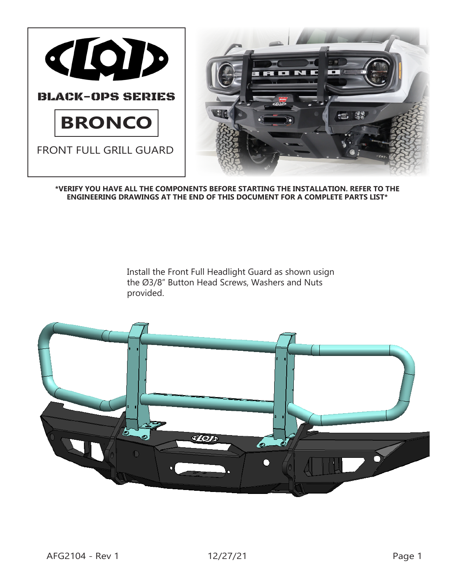

**\*VERIFY YOU HAVE ALL THE COMPONENTS BEFORE STARTING THE INSTALLATION. REFER TO THE ENGINEERING DRAWINGS AT THE END OF THIS DOCUMENT FOR A COMPLETE PARTS LIST\***

> Install the Front Full Headlight Guard as shown usign the Ø3/8" Button Head Screws, Washers and Nuts provided.

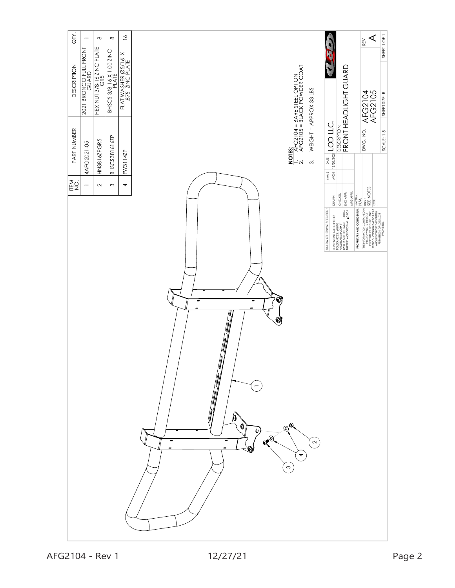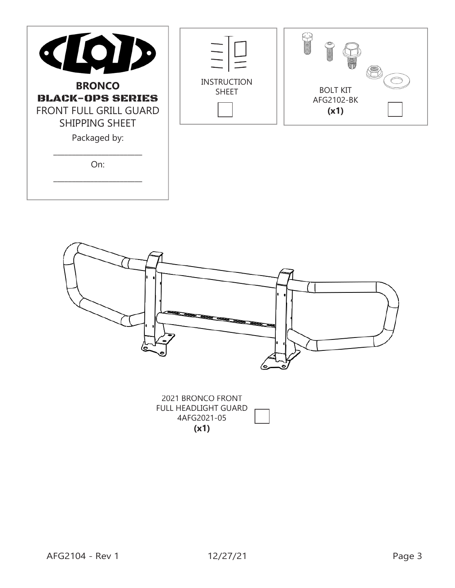| CIOI<br>1D<br><b>BRONCO</b><br><b>BLACK-OPS SERIES</b><br>FRONT FULL GRILL GUARD<br>SHIPPING SHEET<br>Packaged by: | <b>INSTRUCTION</b><br><b>SHEET</b> | <b>CONTACT:</b><br><b>Allegation</b><br><b>BOLT KIT</b><br>AFG2102-BK<br>(x1) |
|--------------------------------------------------------------------------------------------------------------------|------------------------------------|-------------------------------------------------------------------------------|
| On:                                                                                                                |                                    |                                                                               |